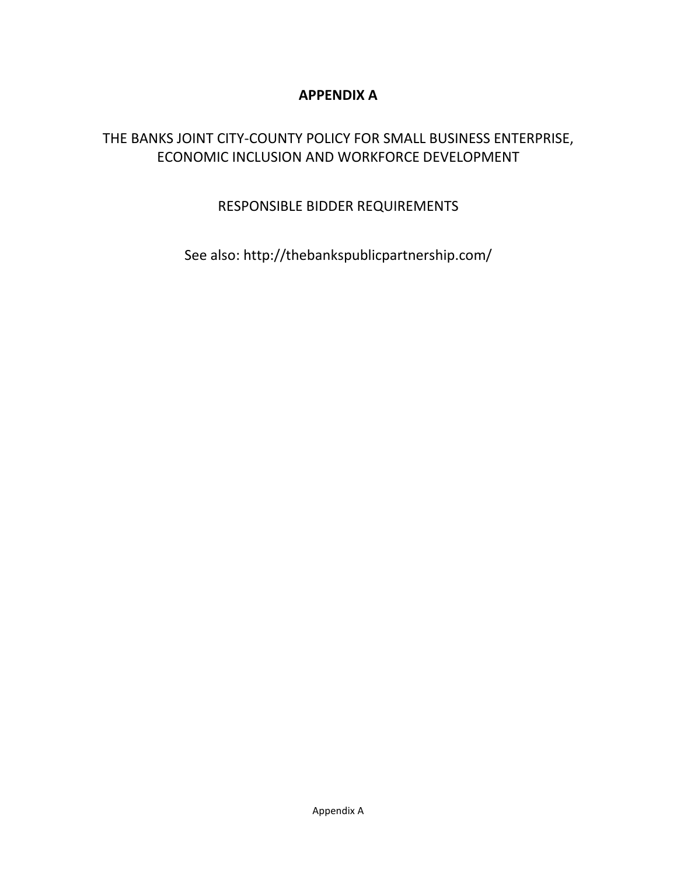# **APPENDIX A**

# THE BANKS JOINT CITY-COUNTY POLICY FOR SMALL BUSINESS ENTERPRISE, ECONOMIC INCLUSION AND WORKFORCE DEVELOPMENT

# RESPONSIBLE BIDDER REQUIREMENTS

See also: http://thebankspublicpartnership.com/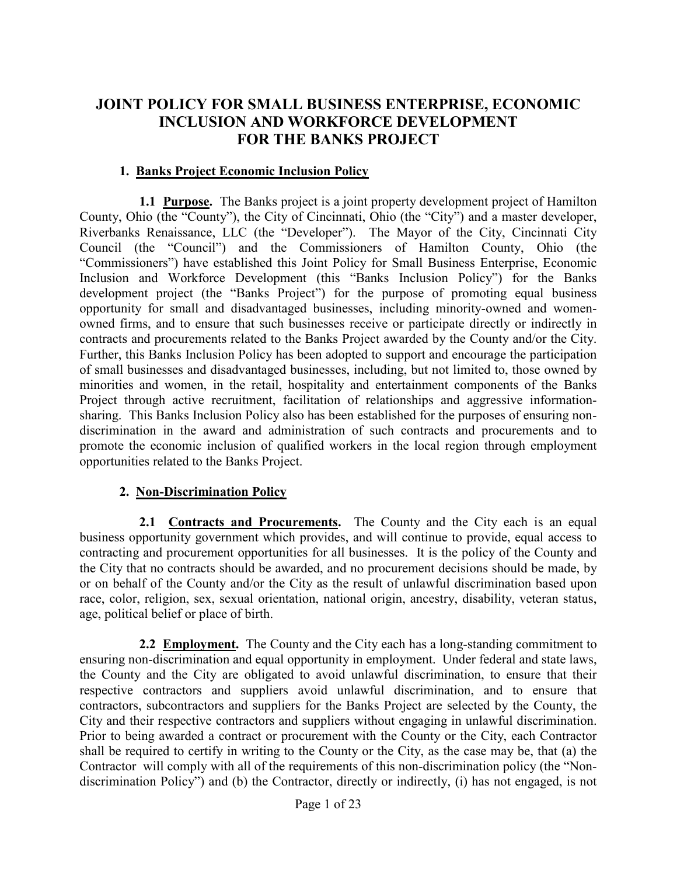# **JOINT POLICY FOR SMALL BUSINESS ENTERPRISE, ECONOMIC INCLUSION AND WORKFORCE DEVELOPMENT FOR THE BANKS PROJECT**

#### **1. Banks Project Economic Inclusion Policy**

**1.1 Purpose.** The Banks project is a joint property development project of Hamilton County, Ohio (the "County"), the City of Cincinnati, Ohio (the "City") and a master developer, Riverbanks Renaissance, LLC (the "Developer"). The Mayor of the City, Cincinnati City Council (the "Council") and the Commissioners of Hamilton County, Ohio (the "Commissioners") have established this Joint Policy for Small Business Enterprise, Economic Inclusion and Workforce Development (this "Banks Inclusion Policy") for the Banks development project (the "Banks Project") for the purpose of promoting equal business opportunity for small and disadvantaged businesses, including minority-owned and womenowned firms, and to ensure that such businesses receive or participate directly or indirectly in contracts and procurements related to the Banks Project awarded by the County and/or the City. Further, this Banks Inclusion Policy has been adopted to support and encourage the participation of small businesses and disadvantaged businesses, including, but not limited to, those owned by minorities and women, in the retail, hospitality and entertainment components of the Banks Project through active recruitment, facilitation of relationships and aggressive informationsharing. This Banks Inclusion Policy also has been established for the purposes of ensuring nondiscrimination in the award and administration of such contracts and procurements and to promote the economic inclusion of qualified workers in the local region through employment opportunities related to the Banks Project.

#### **2. Non-Discrimination Policy**

**2.1 Contracts and Procurements.** The County and the City each is an equal business opportunity government which provides, and will continue to provide, equal access to contracting and procurement opportunities for all businesses. It is the policy of the County and the City that no contracts should be awarded, and no procurement decisions should be made, by or on behalf of the County and/or the City as the result of unlawful discrimination based upon race, color, religion, sex, sexual orientation, national origin, ancestry, disability, veteran status, age, political belief or place of birth.

**2.2 Employment.** The County and the City each has a long-standing commitment to ensuring non-discrimination and equal opportunity in employment. Under federal and state laws, the County and the City are obligated to avoid unlawful discrimination, to ensure that their respective contractors and suppliers avoid unlawful discrimination, and to ensure that contractors, subcontractors and suppliers for the Banks Project are selected by the County, the City and their respective contractors and suppliers without engaging in unlawful discrimination. Prior to being awarded a contract or procurement with the County or the City, each Contractor shall be required to certify in writing to the County or the City, as the case may be, that (a) the Contractor will comply with all of the requirements of this non-discrimination policy (the "Nondiscrimination Policy") and (b) the Contractor, directly or indirectly, (i) has not engaged, is not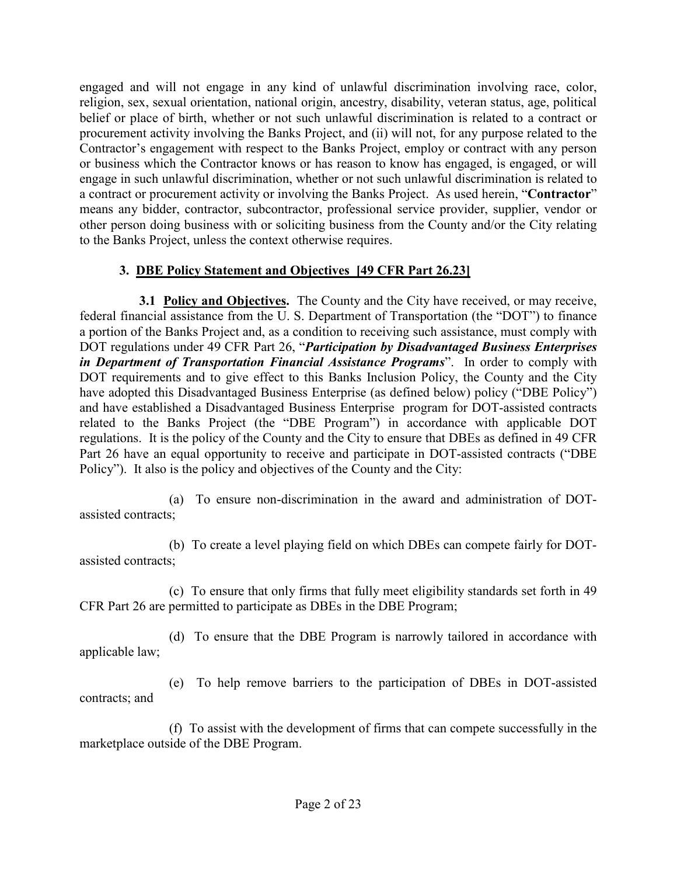engaged and will not engage in any kind of unlawful discrimination involving race, color, religion, sex, sexual orientation, national origin, ancestry, disability, veteran status, age, political belief or place of birth, whether or not such unlawful discrimination is related to a contract or procurement activity involving the Banks Project, and (ii) will not, for any purpose related to the Contractor's engagement with respect to the Banks Project, employ or contract with any person or business which the Contractor knows or has reason to know has engaged, is engaged, or will engage in such unlawful discrimination, whether or not such unlawful discrimination is related to a contract or procurement activity or involving the Banks Project. As used herein, "**Contractor**" means any bidder, contractor, subcontractor, professional service provider, supplier, vendor or other person doing business with or soliciting business from the County and/or the City relating to the Banks Project, unless the context otherwise requires.

# **3. DBE Policy Statement and Objectives [49 CFR Part 26.23]**

**3.1 Policy and Objectives.** The County and the City have received, or may receive, federal financial assistance from the U. S. Department of Transportation (the "DOT") to finance a portion of the Banks Project and, as a condition to receiving such assistance, must comply with DOT regulations under 49 CFR Part 26, "*Participation by Disadvantaged Business Enterprises in Department of Transportation Financial Assistance Programs*". In order to comply with DOT requirements and to give effect to this Banks Inclusion Policy, the County and the City have adopted this Disadvantaged Business Enterprise (as defined below) policy ("DBE Policy") and have established a Disadvantaged Business Enterprise program for DOT-assisted contracts related to the Banks Project (the "DBE Program") in accordance with applicable DOT regulations. It is the policy of the County and the City to ensure that DBEs as defined in 49 CFR Part 26 have an equal opportunity to receive and participate in DOT-assisted contracts ("DBE Policy"). It also is the policy and objectives of the County and the City:

(a) To ensure non-discrimination in the award and administration of DOTassisted contracts;

(b) To create a level playing field on which DBEs can compete fairly for DOTassisted contracts;

(c) To ensure that only firms that fully meet eligibility standards set forth in 49 CFR Part 26 are permitted to participate as DBEs in the DBE Program;

(d) To ensure that the DBE Program is narrowly tailored in accordance with applicable law;

(e) To help remove barriers to the participation of DBEs in DOT-assisted contracts; and

(f) To assist with the development of firms that can compete successfully in the marketplace outside of the DBE Program.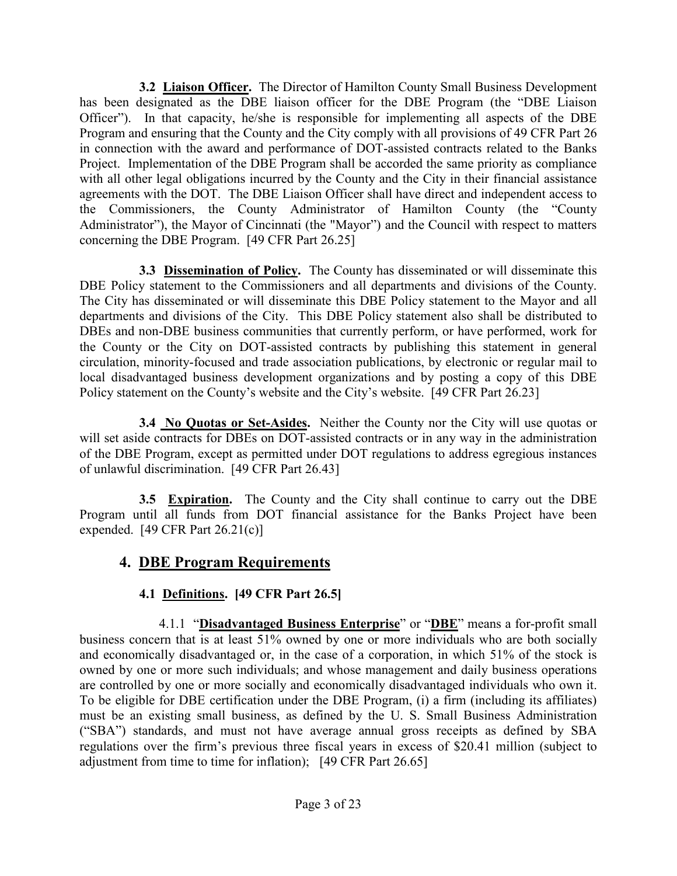**3.2 Liaison Officer.** The Director of Hamilton County Small Business Development has been designated as the DBE liaison officer for the DBE Program (the "DBE Liaison Officer"). In that capacity, he/she is responsible for implementing all aspects of the DBE Program and ensuring that the County and the City comply with all provisions of 49 CFR Part 26 in connection with the award and performance of DOT-assisted contracts related to the Banks Project. Implementation of the DBE Program shall be accorded the same priority as compliance with all other legal obligations incurred by the County and the City in their financial assistance agreements with the DOT. The DBE Liaison Officer shall have direct and independent access to the Commissioners, the County Administrator of Hamilton County (the "County Administrator"), the Mayor of Cincinnati (the "Mayor") and the Council with respect to matters concerning the DBE Program. [49 CFR Part 26.25]

**3.3 Dissemination of Policy.** The County has disseminated or will disseminate this DBE Policy statement to the Commissioners and all departments and divisions of the County. The City has disseminated or will disseminate this DBE Policy statement to the Mayor and all departments and divisions of the City. This DBE Policy statement also shall be distributed to DBEs and non-DBE business communities that currently perform, or have performed, work for the County or the City on DOT-assisted contracts by publishing this statement in general circulation, minority-focused and trade association publications, by electronic or regular mail to local disadvantaged business development organizations and by posting a copy of this DBE Policy statement on the County's website and the City's website. [49 CFR Part 26.23]

**3.4 No Quotas or Set-Asides.** Neither the County nor the City will use quotas or will set aside contracts for DBEs on DOT-assisted contracts or in any way in the administration of the DBE Program, except as permitted under DOT regulations to address egregious instances of unlawful discrimination. [49 CFR Part 26.43]

**3.5 Expiration.** The County and the City shall continue to carry out the DBE Program until all funds from DOT financial assistance for the Banks Project have been expended.  $[49 \text{ CFR Part } 26.21(c)]$ 

# **4. DBE Program Requirements**

# **4.1 Definitions. [49 CFR Part 26.5]**

4.1.1 "**Disadvantaged Business Enterprise**" or "**DBE**" means a for-profit small business concern that is at least 51% owned by one or more individuals who are both socially and economically disadvantaged or, in the case of a corporation, in which 51% of the stock is owned by one or more such individuals; and whose management and daily business operations are controlled by one or more socially and economically disadvantaged individuals who own it. To be eligible for DBE certification under the DBE Program, (i) a firm (including its affiliates) must be an existing small business, as defined by the U. S. Small Business Administration ("SBA") standards, and must not have average annual gross receipts as defined by SBA regulations over the firm's previous three fiscal years in excess of \$20.41 million (subject to adjustment from time to time for inflation); [49 CFR Part 26.65]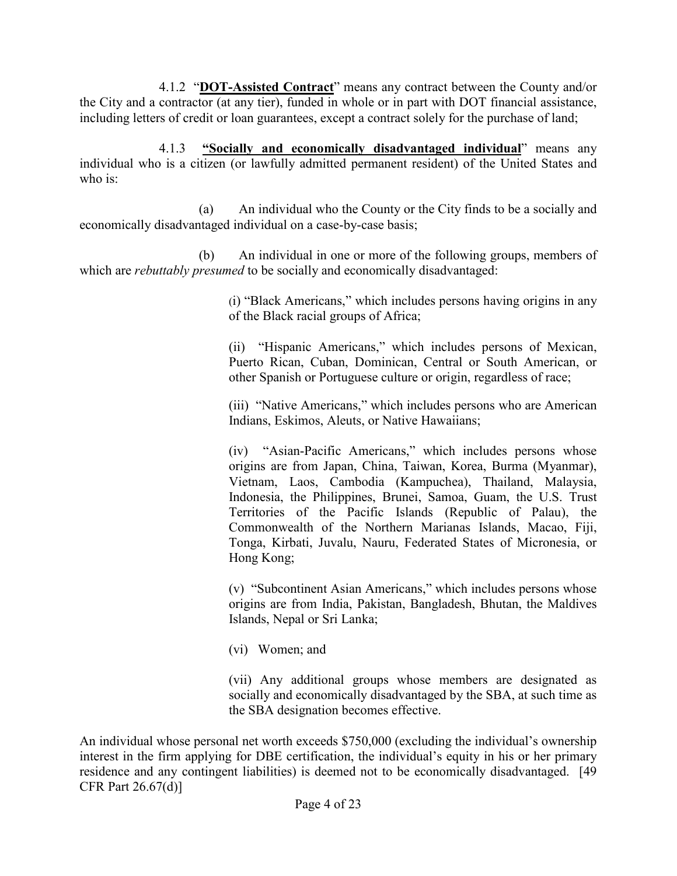4.1.2 "**DOT-Assisted Contract**" means any contract between the County and/or the City and a contractor (at any tier), funded in whole or in part with DOT financial assistance, including letters of credit or loan guarantees, except a contract solely for the purchase of land;

4.1.3 **"Socially and economically disadvantaged individual**" means any individual who is a citizen (or lawfully admitted permanent resident) of the United States and who is:

(a) An individual who the County or the City finds to be a socially and economically disadvantaged individual on a case-by-case basis;

(b) An individual in one or more of the following groups, members of which are *rebuttably presumed* to be socially and economically disadvantaged:

> (i) "Black Americans," which includes persons having origins in any of the Black racial groups of Africa;

> (ii) "Hispanic Americans," which includes persons of Mexican, Puerto Rican, Cuban, Dominican, Central or South American, or other Spanish or Portuguese culture or origin, regardless of race;

> (iii) "Native Americans," which includes persons who are American Indians, Eskimos, Aleuts, or Native Hawaiians;

> (iv) "Asian-Pacific Americans," which includes persons whose origins are from Japan, China, Taiwan, Korea, Burma (Myanmar), Vietnam, Laos, Cambodia (Kampuchea), Thailand, Malaysia, Indonesia, the Philippines, Brunei, Samoa, Guam, the U.S. Trust Territories of the Pacific Islands (Republic of Palau), the Commonwealth of the Northern Marianas Islands, Macao, Fiji, Tonga, Kirbati, Juvalu, Nauru, Federated States of Micronesia, or Hong Kong;

> (v) "Subcontinent Asian Americans," which includes persons whose origins are from India, Pakistan, Bangladesh, Bhutan, the Maldives Islands, Nepal or Sri Lanka;

(vi) Women; and

(vii) Any additional groups whose members are designated as socially and economically disadvantaged by the SBA, at such time as the SBA designation becomes effective.

An individual whose personal net worth exceeds \$750,000 (excluding the individual's ownership interest in the firm applying for DBE certification, the individual's equity in his or her primary residence and any contingent liabilities) is deemed not to be economically disadvantaged. [49 CFR Part 26.67(d)]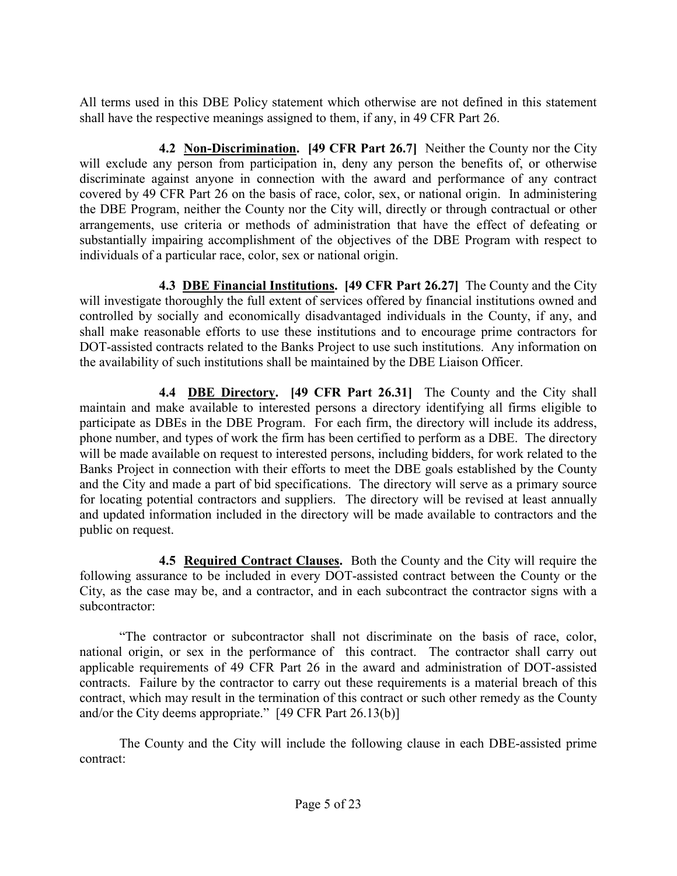All terms used in this DBE Policy statement which otherwise are not defined in this statement shall have the respective meanings assigned to them, if any, in 49 CFR Part 26.

**4.2 Non-Discrimination. [49 CFR Part 26.7]** Neither the County nor the City will exclude any person from participation in, deny any person the benefits of, or otherwise discriminate against anyone in connection with the award and performance of any contract covered by 49 CFR Part 26 on the basis of race, color, sex, or national origin. In administering the DBE Program, neither the County nor the City will, directly or through contractual or other arrangements, use criteria or methods of administration that have the effect of defeating or substantially impairing accomplishment of the objectives of the DBE Program with respect to individuals of a particular race, color, sex or national origin.

**4.3 DBE Financial Institutions. [49 CFR Part 26.27]** The County and the City will investigate thoroughly the full extent of services offered by financial institutions owned and controlled by socially and economically disadvantaged individuals in the County, if any, and shall make reasonable efforts to use these institutions and to encourage prime contractors for DOT-assisted contracts related to the Banks Project to use such institutions. Any information on the availability of such institutions shall be maintained by the DBE Liaison Officer.

**4.4 DBE Directory. [49 CFR Part 26.31]** The County and the City shall maintain and make available to interested persons a directory identifying all firms eligible to participate as DBEs in the DBE Program. For each firm, the directory will include its address, phone number, and types of work the firm has been certified to perform as a DBE. The directory will be made available on request to interested persons, including bidders, for work related to the Banks Project in connection with their efforts to meet the DBE goals established by the County and the City and made a part of bid specifications. The directory will serve as a primary source for locating potential contractors and suppliers. The directory will be revised at least annually and updated information included in the directory will be made available to contractors and the public on request.

**4.5 Required Contract Clauses.** Both the County and the City will require the following assurance to be included in every DOT-assisted contract between the County or the City, as the case may be, and a contractor, and in each subcontract the contractor signs with a subcontractor:

"The contractor or subcontractor shall not discriminate on the basis of race, color, national origin, or sex in the performance of this contract. The contractor shall carry out applicable requirements of 49 CFR Part 26 in the award and administration of DOT-assisted contracts. Failure by the contractor to carry out these requirements is a material breach of this contract, which may result in the termination of this contract or such other remedy as the County and/or the City deems appropriate." [49 CFR Part 26.13(b)]

The County and the City will include the following clause in each DBE-assisted prime contract: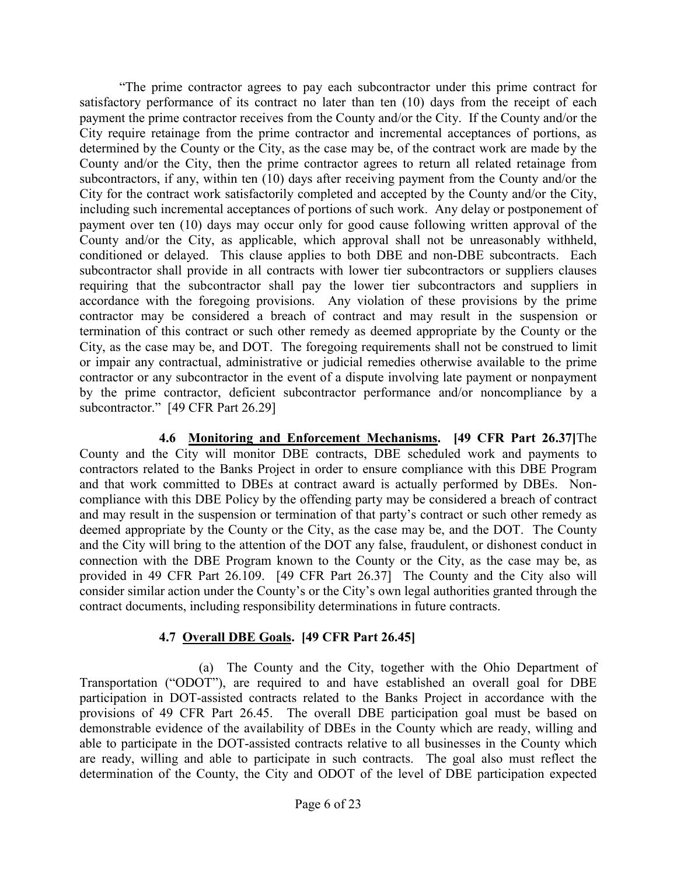"The prime contractor agrees to pay each subcontractor under this prime contract for satisfactory performance of its contract no later than ten (10) days from the receipt of each payment the prime contractor receives from the County and/or the City. If the County and/or the City require retainage from the prime contractor and incremental acceptances of portions, as determined by the County or the City, as the case may be, of the contract work are made by the County and/or the City, then the prime contractor agrees to return all related retainage from subcontractors, if any, within ten  $(10)$  days after receiving payment from the County and/or the City for the contract work satisfactorily completed and accepted by the County and/or the City, including such incremental acceptances of portions of such work. Any delay or postponement of payment over ten (10) days may occur only for good cause following written approval of the County and/or the City, as applicable, which approval shall not be unreasonably withheld, conditioned or delayed. This clause applies to both DBE and non-DBE subcontracts. Each subcontractor shall provide in all contracts with lower tier subcontractors or suppliers clauses requiring that the subcontractor shall pay the lower tier subcontractors and suppliers in accordance with the foregoing provisions. Any violation of these provisions by the prime contractor may be considered a breach of contract and may result in the suspension or termination of this contract or such other remedy as deemed appropriate by the County or the City, as the case may be, and DOT. The foregoing requirements shall not be construed to limit or impair any contractual, administrative or judicial remedies otherwise available to the prime contractor or any subcontractor in the event of a dispute involving late payment or nonpayment by the prime contractor, deficient subcontractor performance and/or noncompliance by a subcontractor." [49 CFR Part 26.29]

**4.6 Monitoring and Enforcement Mechanisms. [49 CFR Part 26.37]**The County and the City will monitor DBE contracts, DBE scheduled work and payments to contractors related to the Banks Project in order to ensure compliance with this DBE Program and that work committed to DBEs at contract award is actually performed by DBEs. Noncompliance with this DBE Policy by the offending party may be considered a breach of contract and may result in the suspension or termination of that party's contract or such other remedy as deemed appropriate by the County or the City, as the case may be, and the DOT. The County and the City will bring to the attention of the DOT any false, fraudulent, or dishonest conduct in connection with the DBE Program known to the County or the City, as the case may be, as provided in 49 CFR Part 26.109. [49 CFR Part 26.37] The County and the City also will consider similar action under the County's or the City's own legal authorities granted through the contract documents, including responsibility determinations in future contracts.

#### **4.7 Overall DBE Goals. [49 CFR Part 26.45]**

(a) The County and the City, together with the Ohio Department of Transportation ("ODOT"), are required to and have established an overall goal for DBE participation in DOT-assisted contracts related to the Banks Project in accordance with the provisions of 49 CFR Part 26.45. The overall DBE participation goal must be based on demonstrable evidence of the availability of DBEs in the County which are ready, willing and able to participate in the DOT-assisted contracts relative to all businesses in the County which are ready, willing and able to participate in such contracts. The goal also must reflect the determination of the County, the City and ODOT of the level of DBE participation expected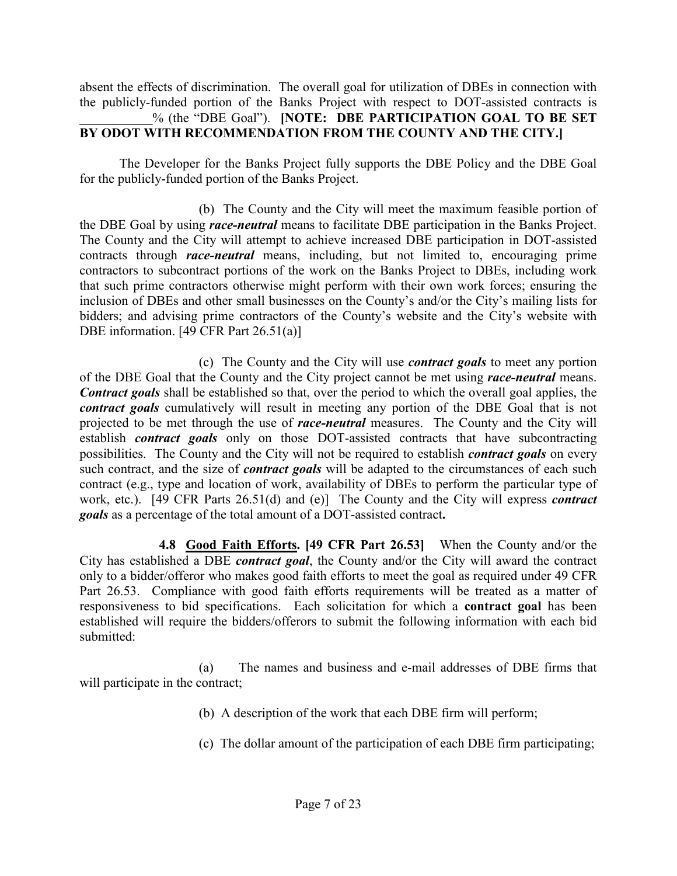absent the effects of discrimination. The overall goal for utilization of DBEs in connection with the publicly-funded portion of the Banks Project with respect to DOT-assisted contracts is \_\_\_\_\_\_\_\_\_\_\_% (the "DBE Goal"). **[NOTE: DBE PARTICIPATION GOAL TO BE SET BY ODOT WITH RECOMMENDATION FROM THE COUNTY AND THE CITY.]** 

The Developer for the Banks Project fully supports the DBE Policy and the DBE Goal for the publicly-funded portion of the Banks Project.

(b) The County and the City will meet the maximum feasible portion of the DBE Goal by using *race-neutral* means to facilitate DBE participation in the Banks Project. The County and the City will attempt to achieve increased DBE participation in DOT-assisted contracts through *race-neutral* means, including, but not limited to, encouraging prime contractors to subcontract portions of the work on the Banks Project to DBEs, including work that such prime contractors otherwise might perform with their own work forces; ensuring the inclusion of DBEs and other small businesses on the County's and/or the City's mailing lists for bidders; and advising prime contractors of the County's website and the City's website with DBE information. [49 CFR Part 26.51(a)]

(c) The County and the City will use *contract goals* to meet any portion of the DBE Goal that the County and the City project cannot be met using *race-neutral* means. *Contract goals* shall be established so that, over the period to which the overall goal applies, the *contract goals* cumulatively will result in meeting any portion of the DBE Goal that is not projected to be met through the use of *race-neutral* measures. The County and the City will establish *contract goals* only on those DOT-assisted contracts that have subcontracting possibilities. The County and the City will not be required to establish *contract goals* on every such contract, and the size of *contract goals* will be adapted to the circumstances of each such contract (e.g., type and location of work, availability of DBEs to perform the particular type of work, etc.). [49 CFR Parts 26.51(d) and (e)] The County and the City will express *contract goals* as a percentage of the total amount of a DOT-assisted contract**.**

**4.8 Good Faith Efforts. [49 CFR Part 26.53]** When the County and/or the City has established a DBE *contract goal*, the County and/or the City will award the contract only to a bidder/offeror who makes good faith efforts to meet the goal as required under 49 CFR Part 26.53. Compliance with good faith efforts requirements will be treated as a matter of responsiveness to bid specifications. Each solicitation for which a **contract goal** has been established will require the bidders/offerors to submit the following information with each bid submitted:

(a) The names and business and e-mail addresses of DBE firms that will participate in the contract;

(b) A description of the work that each DBE firm will perform;

(c) The dollar amount of the participation of each DBE firm participating;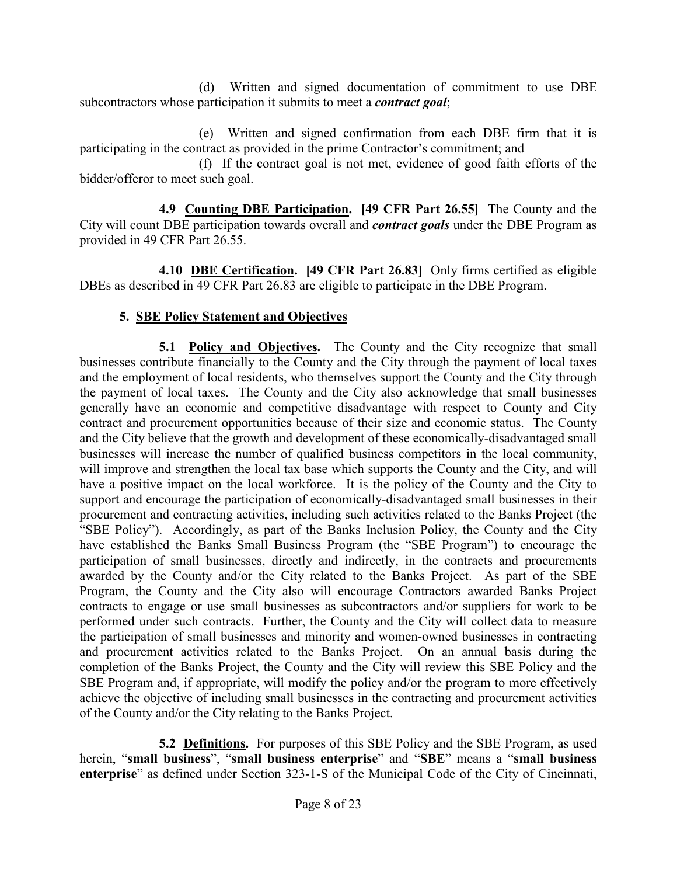(d) Written and signed documentation of commitment to use DBE subcontractors whose participation it submits to meet a *contract goal*;

(e) Written and signed confirmation from each DBE firm that it is participating in the contract as provided in the prime Contractor's commitment; and

(f) If the contract goal is not met, evidence of good faith efforts of the bidder/offeror to meet such goal.

**4.9 Counting DBE Participation. [49 CFR Part 26.55]** The County and the City will count DBE participation towards overall and *contract goals* under the DBE Program as provided in 49 CFR Part 26.55.

**4.10 DBE Certification. [49 CFR Part 26.83]** Only firms certified as eligible DBEs as described in 49 CFR Part 26.83 are eligible to participate in the DBE Program.

# **5. SBE Policy Statement and Objectives**

**5.1 Policy and Objectives.** The County and the City recognize that small businesses contribute financially to the County and the City through the payment of local taxes and the employment of local residents, who themselves support the County and the City through the payment of local taxes. The County and the City also acknowledge that small businesses generally have an economic and competitive disadvantage with respect to County and City contract and procurement opportunities because of their size and economic status. The County and the City believe that the growth and development of these economically-disadvantaged small businesses will increase the number of qualified business competitors in the local community, will improve and strengthen the local tax base which supports the County and the City, and will have a positive impact on the local workforce. It is the policy of the County and the City to support and encourage the participation of economically-disadvantaged small businesses in their procurement and contracting activities, including such activities related to the Banks Project (the "SBE Policy"). Accordingly, as part of the Banks Inclusion Policy, the County and the City have established the Banks Small Business Program (the "SBE Program") to encourage the participation of small businesses, directly and indirectly, in the contracts and procurements awarded by the County and/or the City related to the Banks Project. As part of the SBE Program, the County and the City also will encourage Contractors awarded Banks Project contracts to engage or use small businesses as subcontractors and/or suppliers for work to be performed under such contracts. Further, the County and the City will collect data to measure the participation of small businesses and minority and women-owned businesses in contracting and procurement activities related to the Banks Project. On an annual basis during the completion of the Banks Project, the County and the City will review this SBE Policy and the SBE Program and, if appropriate, will modify the policy and/or the program to more effectively achieve the objective of including small businesses in the contracting and procurement activities of the County and/or the City relating to the Banks Project.

**5.2 Definitions.** For purposes of this SBE Policy and the SBE Program, as used herein, "**small business**", "**small business enterprise**" and "**SBE**" means a "**small business enterprise**" as defined under Section 323-1-S of the Municipal Code of the City of Cincinnati,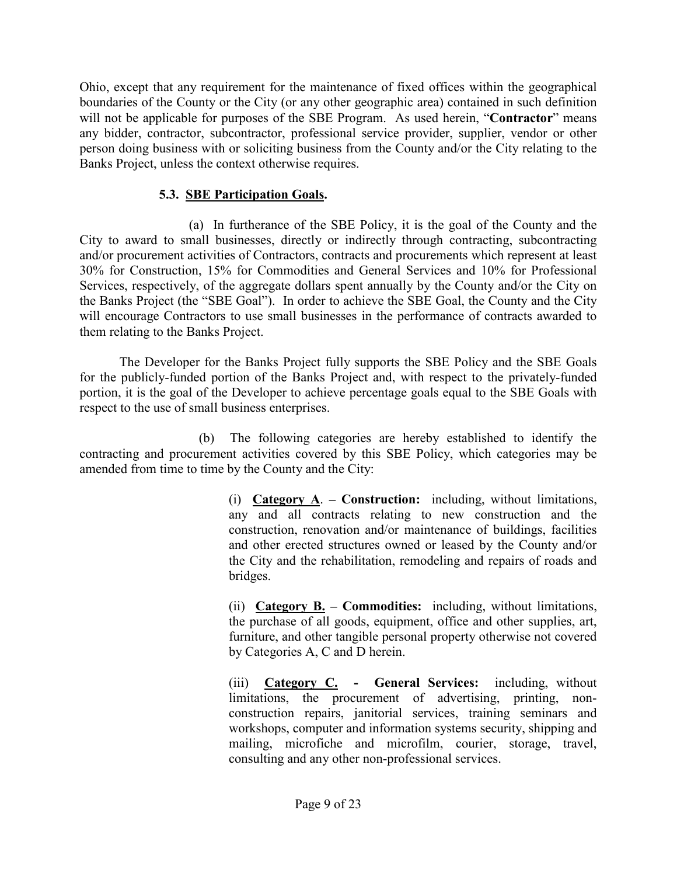Ohio, except that any requirement for the maintenance of fixed offices within the geographical boundaries of the County or the City (or any other geographic area) contained in such definition will not be applicable for purposes of the SBE Program. As used herein, "**Contractor**" means any bidder, contractor, subcontractor, professional service provider, supplier, vendor or other person doing business with or soliciting business from the County and/or the City relating to the Banks Project, unless the context otherwise requires.

#### **5.3. SBE Participation Goals.**

(a) In furtherance of the SBE Policy, it is the goal of the County and the City to award to small businesses, directly or indirectly through contracting, subcontracting and/or procurement activities of Contractors, contracts and procurements which represent at least 30% for Construction, 15% for Commodities and General Services and 10% for Professional Services, respectively, of the aggregate dollars spent annually by the County and/or the City on the Banks Project (the "SBE Goal"). In order to achieve the SBE Goal, the County and the City will encourage Contractors to use small businesses in the performance of contracts awarded to them relating to the Banks Project.

The Developer for the Banks Project fully supports the SBE Policy and the SBE Goals for the publicly-funded portion of the Banks Project and, with respect to the privately-funded portion, it is the goal of the Developer to achieve percentage goals equal to the SBE Goals with respect to the use of small business enterprises.

(b) The following categories are hereby established to identify the contracting and procurement activities covered by this SBE Policy, which categories may be amended from time to time by the County and the City:

> (i) **Category A**. **– Construction:** including, without limitations, any and all contracts relating to new construction and the construction, renovation and/or maintenance of buildings, facilities and other erected structures owned or leased by the County and/or the City and the rehabilitation, remodeling and repairs of roads and bridges.

> (ii) **Category B. – Commodities:** including, without limitations, the purchase of all goods, equipment, office and other supplies, art, furniture, and other tangible personal property otherwise not covered by Categories A, C and D herein.

> (iii) **Category C. - General Services:** including, without limitations, the procurement of advertising, printing, nonconstruction repairs, janitorial services, training seminars and workshops, computer and information systems security, shipping and mailing, microfiche and microfilm, courier, storage, travel, consulting and any other non-professional services.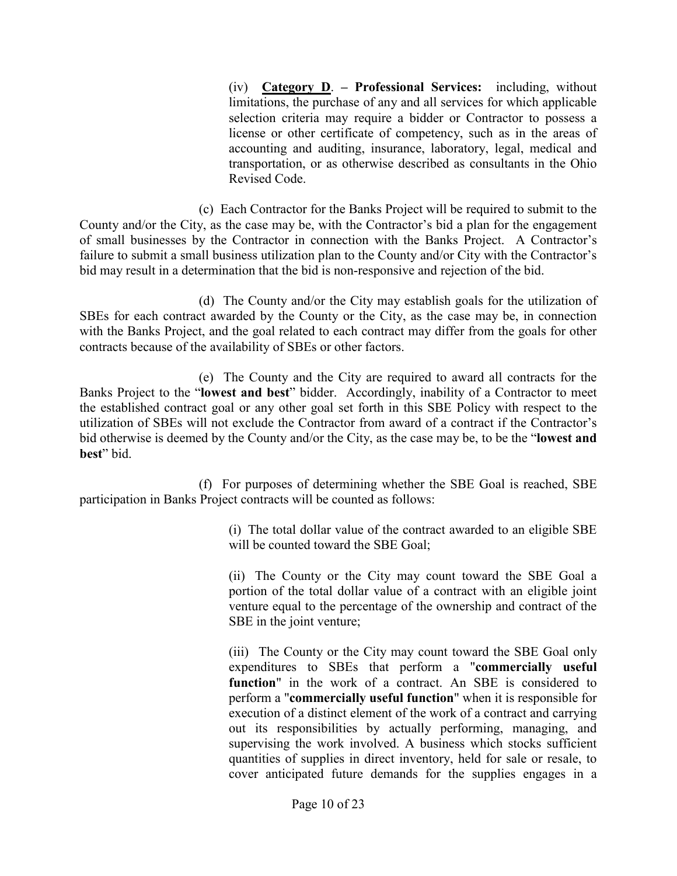(iv) **Category D**. **– Professional Services:** including, without limitations, the purchase of any and all services for which applicable selection criteria may require a bidder or Contractor to possess a license or other certificate of competency, such as in the areas of accounting and auditing, insurance, laboratory, legal, medical and transportation, or as otherwise described as consultants in the Ohio Revised Code.

(c) Each Contractor for the Banks Project will be required to submit to the County and/or the City, as the case may be, with the Contractor's bid a plan for the engagement of small businesses by the Contractor in connection with the Banks Project. A Contractor's failure to submit a small business utilization plan to the County and/or City with the Contractor's bid may result in a determination that the bid is non-responsive and rejection of the bid.

(d) The County and/or the City may establish goals for the utilization of SBEs for each contract awarded by the County or the City, as the case may be, in connection with the Banks Project, and the goal related to each contract may differ from the goals for other contracts because of the availability of SBEs or other factors.

(e) The County and the City are required to award all contracts for the Banks Project to the "**lowest and best**" bidder. Accordingly, inability of a Contractor to meet the established contract goal or any other goal set forth in this SBE Policy with respect to the utilization of SBEs will not exclude the Contractor from award of a contract if the Contractor's bid otherwise is deemed by the County and/or the City, as the case may be, to be the "**lowest and best**" bid.

(f) For purposes of determining whether the SBE Goal is reached, SBE participation in Banks Project contracts will be counted as follows:

> (i) The total dollar value of the contract awarded to an eligible SBE will be counted toward the SBE Goal;

> (ii) The County or the City may count toward the SBE Goal a portion of the total dollar value of a contract with an eligible joint venture equal to the percentage of the ownership and contract of the SBE in the joint venture;

> (iii) The County or the City may count toward the SBE Goal only expenditures to SBEs that perform a "**commercially useful function**" in the work of a contract. An SBE is considered to perform a "**commercially useful function**" when it is responsible for execution of a distinct element of the work of a contract and carrying out its responsibilities by actually performing, managing, and supervising the work involved. A business which stocks sufficient quantities of supplies in direct inventory, held for sale or resale, to cover anticipated future demands for the supplies engages in a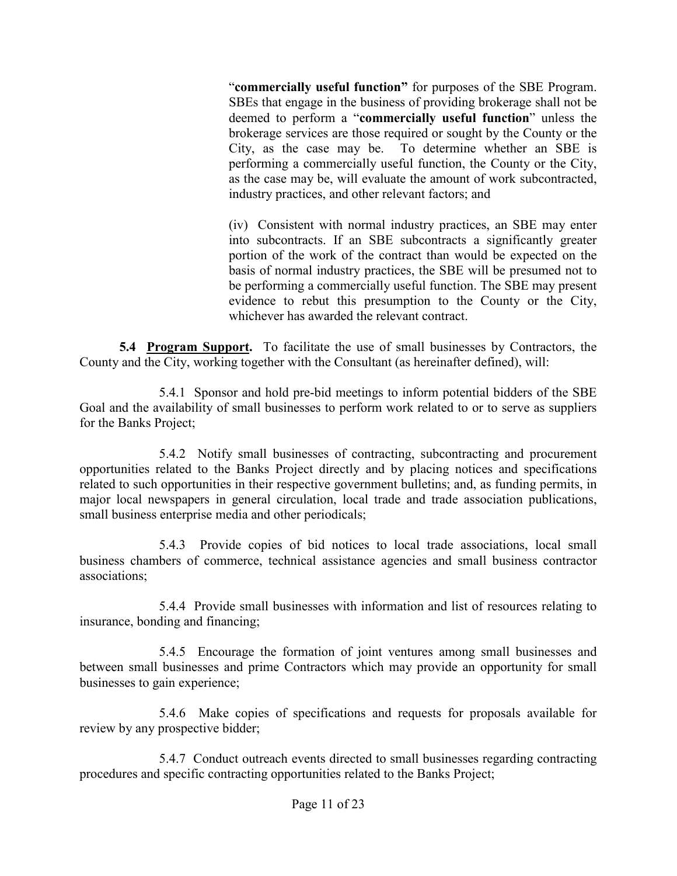"**commercially useful function"** for purposes of the SBE Program. SBEs that engage in the business of providing brokerage shall not be deemed to perform a "**commercially useful function**" unless the brokerage services are those required or sought by the County or the City, as the case may be. To determine whether an SBE is performing a commercially useful function, the County or the City, as the case may be, will evaluate the amount of work subcontracted, industry practices, and other relevant factors; and

(iv) Consistent with normal industry practices, an SBE may enter into subcontracts. If an SBE subcontracts a significantly greater portion of the work of the contract than would be expected on the basis of normal industry practices, the SBE will be presumed not to be performing a commercially useful function. The SBE may present evidence to rebut this presumption to the County or the City, whichever has awarded the relevant contract.

**5.4 Program Support.** To facilitate the use of small businesses by Contractors, the County and the City, working together with the Consultant (as hereinafter defined), will:

5.4.1 Sponsor and hold pre-bid meetings to inform potential bidders of the SBE Goal and the availability of small businesses to perform work related to or to serve as suppliers for the Banks Project;

5.4.2 Notify small businesses of contracting, subcontracting and procurement opportunities related to the Banks Project directly and by placing notices and specifications related to such opportunities in their respective government bulletins; and, as funding permits, in major local newspapers in general circulation, local trade and trade association publications, small business enterprise media and other periodicals;

5.4.3 Provide copies of bid notices to local trade associations, local small business chambers of commerce, technical assistance agencies and small business contractor associations;

5.4.4 Provide small businesses with information and list of resources relating to insurance, bonding and financing;

5.4.5 Encourage the formation of joint ventures among small businesses and between small businesses and prime Contractors which may provide an opportunity for small businesses to gain experience;

5.4.6 Make copies of specifications and requests for proposals available for review by any prospective bidder;

5.4.7 Conduct outreach events directed to small businesses regarding contracting procedures and specific contracting opportunities related to the Banks Project;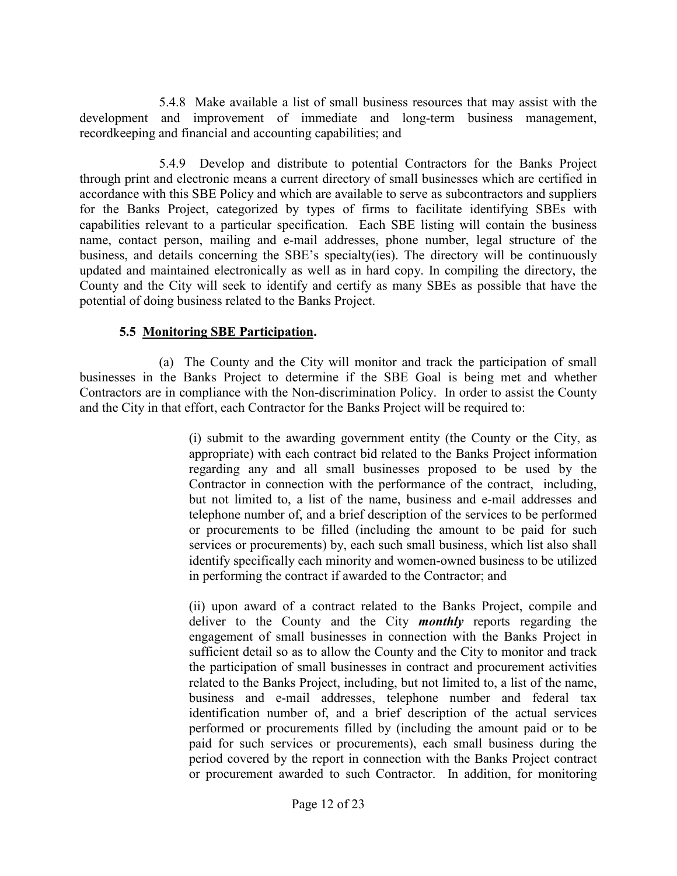5.4.8 Make available a list of small business resources that may assist with the development and improvement of immediate and long-term business management, recordkeeping and financial and accounting capabilities; and

5.4.9 Develop and distribute to potential Contractors for the Banks Project through print and electronic means a current directory of small businesses which are certified in accordance with this SBE Policy and which are available to serve as subcontractors and suppliers for the Banks Project, categorized by types of firms to facilitate identifying SBEs with capabilities relevant to a particular specification. Each SBE listing will contain the business name, contact person, mailing and e-mail addresses, phone number, legal structure of the business, and details concerning the SBE's specialty(ies). The directory will be continuously updated and maintained electronically as well as in hard copy. In compiling the directory, the County and the City will seek to identify and certify as many SBEs as possible that have the potential of doing business related to the Banks Project.

#### **5.5 Monitoring SBE Participation.**

(a) The County and the City will monitor and track the participation of small businesses in the Banks Project to determine if the SBE Goal is being met and whether Contractors are in compliance with the Non-discrimination Policy. In order to assist the County and the City in that effort, each Contractor for the Banks Project will be required to:

> (i) submit to the awarding government entity (the County or the City, as appropriate) with each contract bid related to the Banks Project information regarding any and all small businesses proposed to be used by the Contractor in connection with the performance of the contract, including, but not limited to, a list of the name, business and e-mail addresses and telephone number of, and a brief description of the services to be performed or procurements to be filled (including the amount to be paid for such services or procurements) by, each such small business, which list also shall identify specifically each minority and women-owned business to be utilized in performing the contract if awarded to the Contractor; and

> (ii) upon award of a contract related to the Banks Project, compile and deliver to the County and the City *monthly* reports regarding the engagement of small businesses in connection with the Banks Project in sufficient detail so as to allow the County and the City to monitor and track the participation of small businesses in contract and procurement activities related to the Banks Project, including, but not limited to, a list of the name, business and e-mail addresses, telephone number and federal tax identification number of, and a brief description of the actual services performed or procurements filled by (including the amount paid or to be paid for such services or procurements), each small business during the period covered by the report in connection with the Banks Project contract or procurement awarded to such Contractor. In addition, for monitoring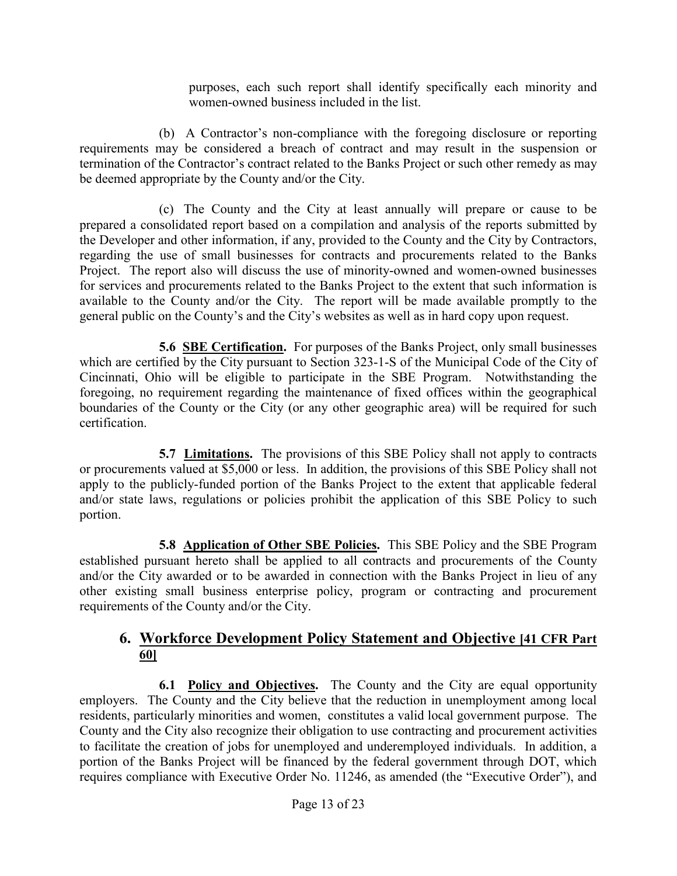purposes, each such report shall identify specifically each minority and women-owned business included in the list.

(b) A Contractor's non-compliance with the foregoing disclosure or reporting requirements may be considered a breach of contract and may result in the suspension or termination of the Contractor's contract related to the Banks Project or such other remedy as may be deemed appropriate by the County and/or the City.

(c) The County and the City at least annually will prepare or cause to be prepared a consolidated report based on a compilation and analysis of the reports submitted by the Developer and other information, if any, provided to the County and the City by Contractors, regarding the use of small businesses for contracts and procurements related to the Banks Project. The report also will discuss the use of minority-owned and women-owned businesses for services and procurements related to the Banks Project to the extent that such information is available to the County and/or the City. The report will be made available promptly to the general public on the County's and the City's websites as well as in hard copy upon request.

**5.6 SBE Certification.** For purposes of the Banks Project, only small businesses which are certified by the City pursuant to Section 323-1-S of the Municipal Code of the City of Cincinnati, Ohio will be eligible to participate in the SBE Program. Notwithstanding the foregoing, no requirement regarding the maintenance of fixed offices within the geographical boundaries of the County or the City (or any other geographic area) will be required for such certification.

**5.7 Limitations.** The provisions of this SBE Policy shall not apply to contracts or procurements valued at \$5,000 or less. In addition, the provisions of this SBE Policy shall not apply to the publicly-funded portion of the Banks Project to the extent that applicable federal and/or state laws, regulations or policies prohibit the application of this SBE Policy to such portion.

**5.8 Application of Other SBE Policies.** This SBE Policy and the SBE Program established pursuant hereto shall be applied to all contracts and procurements of the County and/or the City awarded or to be awarded in connection with the Banks Project in lieu of any other existing small business enterprise policy, program or contracting and procurement requirements of the County and/or the City.

# **6. Workforce Development Policy Statement and Objective [41 CFR Part 60]**

**6.1 Policy and Objectives.** The County and the City are equal opportunity employers. The County and the City believe that the reduction in unemployment among local residents, particularly minorities and women, constitutes a valid local government purpose. The County and the City also recognize their obligation to use contracting and procurement activities to facilitate the creation of jobs for unemployed and underemployed individuals. In addition, a portion of the Banks Project will be financed by the federal government through DOT, which requires compliance with Executive Order No. 11246, as amended (the "Executive Order"), and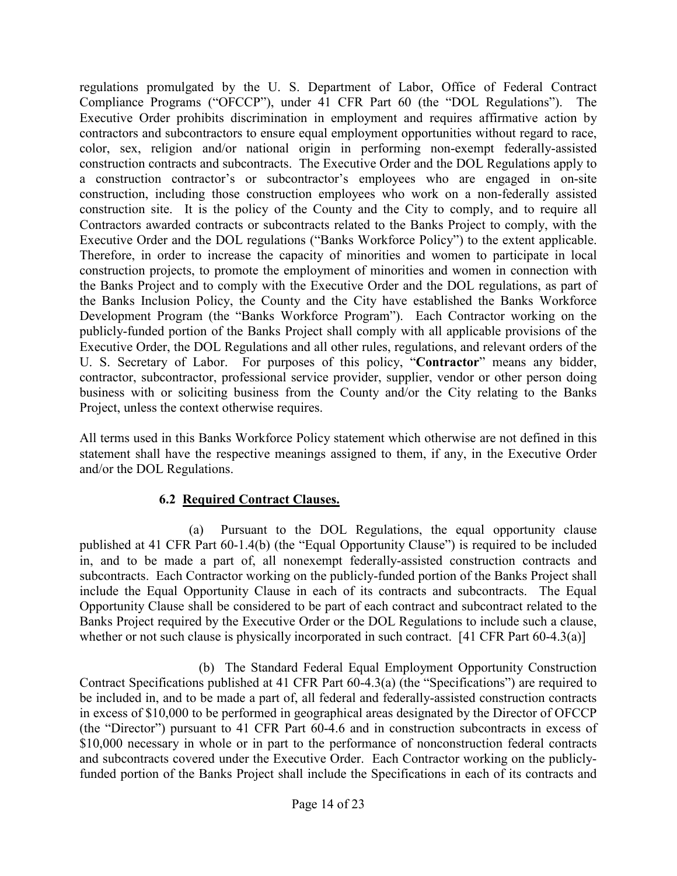regulations promulgated by the U. S. Department of Labor, Office of Federal Contract Compliance Programs ("OFCCP"), under 41 CFR Part 60 (the "DOL Regulations"). The Executive Order prohibits discrimination in employment and requires affirmative action by contractors and subcontractors to ensure equal employment opportunities without regard to race, color, sex, religion and/or national origin in performing non-exempt federally-assisted construction contracts and subcontracts. The Executive Order and the DOL Regulations apply to a construction contractor's or subcontractor's employees who are engaged in on-site construction, including those construction employees who work on a non-federally assisted construction site. It is the policy of the County and the City to comply, and to require all Contractors awarded contracts or subcontracts related to the Banks Project to comply, with the Executive Order and the DOL regulations ("Banks Workforce Policy") to the extent applicable. Therefore, in order to increase the capacity of minorities and women to participate in local construction projects, to promote the employment of minorities and women in connection with the Banks Project and to comply with the Executive Order and the DOL regulations, as part of the Banks Inclusion Policy, the County and the City have established the Banks Workforce Development Program (the "Banks Workforce Program"). Each Contractor working on the publicly-funded portion of the Banks Project shall comply with all applicable provisions of the Executive Order, the DOL Regulations and all other rules, regulations, and relevant orders of the U. S. Secretary of Labor. For purposes of this policy, "**Contractor**" means any bidder, contractor, subcontractor, professional service provider, supplier, vendor or other person doing business with or soliciting business from the County and/or the City relating to the Banks Project, unless the context otherwise requires.

All terms used in this Banks Workforce Policy statement which otherwise are not defined in this statement shall have the respective meanings assigned to them, if any, in the Executive Order and/or the DOL Regulations.

#### **6.2 Required Contract Clauses.**

(a) Pursuant to the DOL Regulations, the equal opportunity clause published at 41 CFR Part 60-1.4(b) (the "Equal Opportunity Clause") is required to be included in, and to be made a part of, all nonexempt federally-assisted construction contracts and subcontracts. Each Contractor working on the publicly-funded portion of the Banks Project shall include the Equal Opportunity Clause in each of its contracts and subcontracts. The Equal Opportunity Clause shall be considered to be part of each contract and subcontract related to the Banks Project required by the Executive Order or the DOL Regulations to include such a clause, whether or not such clause is physically incorporated in such contract. [41 CFR Part 60-4.3(a)]

(b) The Standard Federal Equal Employment Opportunity Construction Contract Specifications published at 41 CFR Part 60-4.3(a) (the "Specifications") are required to be included in, and to be made a part of, all federal and federally-assisted construction contracts in excess of \$10,000 to be performed in geographical areas designated by the Director of OFCCP (the "Director") pursuant to 41 CFR Part 60-4.6 and in construction subcontracts in excess of \$10,000 necessary in whole or in part to the performance of nonconstruction federal contracts and subcontracts covered under the Executive Order. Each Contractor working on the publiclyfunded portion of the Banks Project shall include the Specifications in each of its contracts and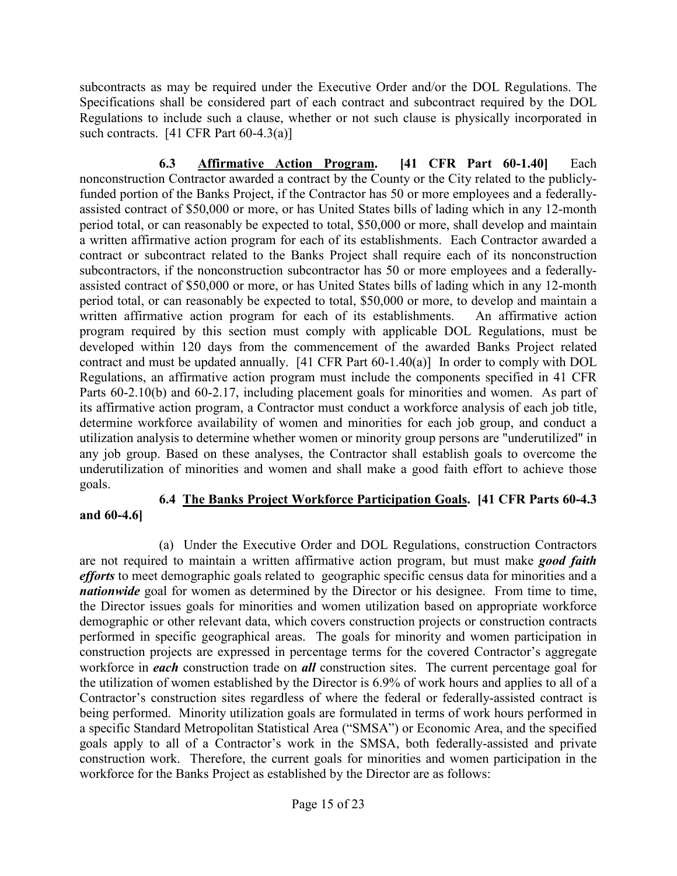subcontracts as may be required under the Executive Order and/or the DOL Regulations. The Specifications shall be considered part of each contract and subcontract required by the DOL Regulations to include such a clause, whether or not such clause is physically incorporated in such contracts.  $[41 \text{ CFR Part } 60-4.3(a)]$ 

**6.3 Affirmative Action Program. [41 CFR Part 60-1.40]** Each nonconstruction Contractor awarded a contract by the County or the City related to the publiclyfunded portion of the Banks Project, if the Contractor has 50 or more employees and a federallyassisted contract of \$50,000 or more, or has United States bills of lading which in any 12-month period total, or can reasonably be expected to total, \$50,000 or more, shall develop and maintain a written affirmative action program for each of its establishments. Each Contractor awarded a contract or subcontract related to the Banks Project shall require each of its nonconstruction subcontractors, if the nonconstruction subcontractor has 50 or more employees and a federallyassisted contract of \$50,000 or more, or has United States bills of lading which in any 12-month period total, or can reasonably be expected to total, \$50,000 or more, to develop and maintain a written affirmative action program for each of its establishments. An affirmative action program required by this section must comply with applicable DOL Regulations, must be developed within 120 days from the commencement of the awarded Banks Project related contract and must be updated annually. [41 CFR Part 60-1.40(a)] In order to comply with DOL Regulations, an affirmative action program must include the components specified in 41 CFR Parts 60-2.10(b) and 60-2.17, including placement goals for minorities and women. As part of its affirmative action program, a Contractor must conduct a workforce analysis of each job title, determine workforce availability of women and minorities for each job group, and conduct a utilization analysis to determine whether women or minority group persons are "underutilized" in any job group. Based on these analyses, the Contractor shall establish goals to overcome the underutilization of minorities and women and shall make a good faith effort to achieve those goals.

# **6.4 The Banks Project Workforce Participation Goals. [41 CFR Parts 60-4.3**

(a) Under the Executive Order and DOL Regulations, construction Contractors are not required to maintain a written affirmative action program, but must make *good faith efforts* to meet demographic goals related to geographic specific census data for minorities and a *nationwide* goal for women as determined by the Director or his designee. From time to time, the Director issues goals for minorities and women utilization based on appropriate workforce demographic or other relevant data, which covers construction projects or construction contracts performed in specific geographical areas. The goals for minority and women participation in construction projects are expressed in percentage terms for the covered Contractor's aggregate workforce in *each* construction trade on *all* construction sites. The current percentage goal for the utilization of women established by the Director is 6.9% of work hours and applies to all of a Contractor's construction sites regardless of where the federal or federally-assisted contract is being performed. Minority utilization goals are formulated in terms of work hours performed in a specific Standard Metropolitan Statistical Area ("SMSA") or Economic Area, and the specified goals apply to all of a Contractor's work in the SMSA, both federally-assisted and private construction work. Therefore, the current goals for minorities and women participation in the workforce for the Banks Project as established by the Director are as follows:

**and 60-4.6]**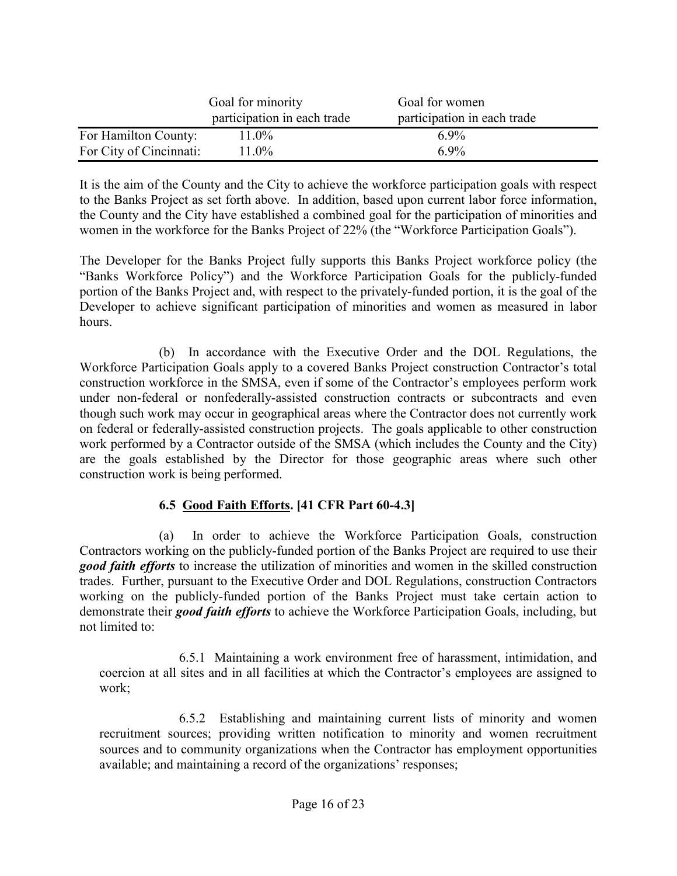|                         | Goal for minority<br>participation in each trade | Goal for women<br>participation in each trade |
|-------------------------|--------------------------------------------------|-----------------------------------------------|
| For Hamilton County:    | 11.0%                                            | 69%                                           |
| For City of Cincinnati: | $11.0\%$                                         | 6.9%                                          |

It is the aim of the County and the City to achieve the workforce participation goals with respect to the Banks Project as set forth above. In addition, based upon current labor force information, the County and the City have established a combined goal for the participation of minorities and women in the workforce for the Banks Project of 22% (the "Workforce Participation Goals").

The Developer for the Banks Project fully supports this Banks Project workforce policy (the "Banks Workforce Policy") and the Workforce Participation Goals for the publicly-funded portion of the Banks Project and, with respect to the privately-funded portion, it is the goal of the Developer to achieve significant participation of minorities and women as measured in labor hours.

(b) In accordance with the Executive Order and the DOL Regulations, the Workforce Participation Goals apply to a covered Banks Project construction Contractor's total construction workforce in the SMSA, even if some of the Contractor's employees perform work under non-federal or nonfederally-assisted construction contracts or subcontracts and even though such work may occur in geographical areas where the Contractor does not currently work on federal or federally-assisted construction projects. The goals applicable to other construction work performed by a Contractor outside of the SMSA (which includes the County and the City) are the goals established by the Director for those geographic areas where such other construction work is being performed.

# **6.5 Good Faith Efforts. [41 CFR Part 60-4.3]**

(a) In order to achieve the Workforce Participation Goals, construction Contractors working on the publicly-funded portion of the Banks Project are required to use their *good faith efforts* to increase the utilization of minorities and women in the skilled construction trades. Further, pursuant to the Executive Order and DOL Regulations, construction Contractors working on the publicly-funded portion of the Banks Project must take certain action to demonstrate their *good faith efforts* to achieve the Workforce Participation Goals, including, but not limited to:

6.5.1 Maintaining a work environment free of harassment, intimidation, and coercion at all sites and in all facilities at which the Contractor's employees are assigned to work;

6.5.2 Establishing and maintaining current lists of minority and women recruitment sources; providing written notification to minority and women recruitment sources and to community organizations when the Contractor has employment opportunities available; and maintaining a record of the organizations' responses;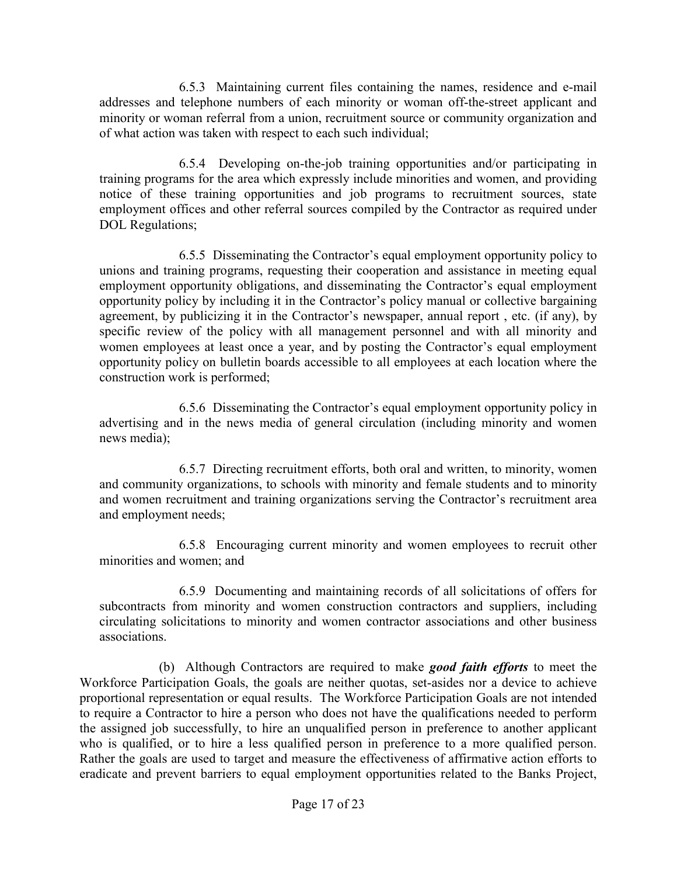6.5.3 Maintaining current files containing the names, residence and e-mail addresses and telephone numbers of each minority or woman off-the-street applicant and minority or woman referral from a union, recruitment source or community organization and of what action was taken with respect to each such individual;

6.5.4 Developing on-the-job training opportunities and/or participating in training programs for the area which expressly include minorities and women, and providing notice of these training opportunities and job programs to recruitment sources, state employment offices and other referral sources compiled by the Contractor as required under DOL Regulations;

6.5.5 Disseminating the Contractor's equal employment opportunity policy to unions and training programs, requesting their cooperation and assistance in meeting equal employment opportunity obligations, and disseminating the Contractor's equal employment opportunity policy by including it in the Contractor's policy manual or collective bargaining agreement, by publicizing it in the Contractor's newspaper, annual report , etc. (if any), by specific review of the policy with all management personnel and with all minority and women employees at least once a year, and by posting the Contractor's equal employment opportunity policy on bulletin boards accessible to all employees at each location where the construction work is performed;

6.5.6 Disseminating the Contractor's equal employment opportunity policy in advertising and in the news media of general circulation (including minority and women news media);

6.5.7 Directing recruitment efforts, both oral and written, to minority, women and community organizations, to schools with minority and female students and to minority and women recruitment and training organizations serving the Contractor's recruitment area and employment needs;

6.5.8 Encouraging current minority and women employees to recruit other minorities and women; and

6.5.9 Documenting and maintaining records of all solicitations of offers for subcontracts from minority and women construction contractors and suppliers, including circulating solicitations to minority and women contractor associations and other business associations.

(b) Although Contractors are required to make *good faith efforts* to meet the Workforce Participation Goals, the goals are neither quotas, set-asides nor a device to achieve proportional representation or equal results. The Workforce Participation Goals are not intended to require a Contractor to hire a person who does not have the qualifications needed to perform the assigned job successfully, to hire an unqualified person in preference to another applicant who is qualified, or to hire a less qualified person in preference to a more qualified person. Rather the goals are used to target and measure the effectiveness of affirmative action efforts to eradicate and prevent barriers to equal employment opportunities related to the Banks Project,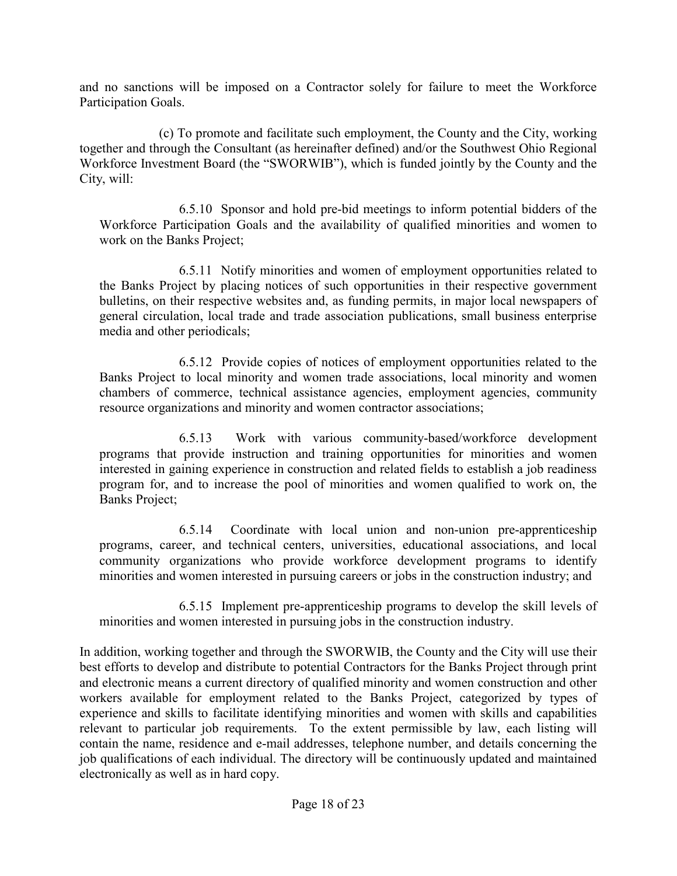and no sanctions will be imposed on a Contractor solely for failure to meet the Workforce Participation Goals.

(c) To promote and facilitate such employment, the County and the City, working together and through the Consultant (as hereinafter defined) and/or the Southwest Ohio Regional Workforce Investment Board (the "SWORWIB"), which is funded jointly by the County and the City, will:

6.5.10 Sponsor and hold pre-bid meetings to inform potential bidders of the Workforce Participation Goals and the availability of qualified minorities and women to work on the Banks Project;

6.5.11 Notify minorities and women of employment opportunities related to the Banks Project by placing notices of such opportunities in their respective government bulletins, on their respective websites and, as funding permits, in major local newspapers of general circulation, local trade and trade association publications, small business enterprise media and other periodicals;

6.5.12 Provide copies of notices of employment opportunities related to the Banks Project to local minority and women trade associations, local minority and women chambers of commerce, technical assistance agencies, employment agencies, community resource organizations and minority and women contractor associations;

6.5.13 Work with various community-based/workforce development programs that provide instruction and training opportunities for minorities and women interested in gaining experience in construction and related fields to establish a job readiness program for, and to increase the pool of minorities and women qualified to work on, the Banks Project;

6.5.14 Coordinate with local union and non-union pre-apprenticeship programs, career, and technical centers, universities, educational associations, and local community organizations who provide workforce development programs to identify minorities and women interested in pursuing careers or jobs in the construction industry; and

6.5.15 Implement pre-apprenticeship programs to develop the skill levels of minorities and women interested in pursuing jobs in the construction industry.

In addition, working together and through the SWORWIB, the County and the City will use their best efforts to develop and distribute to potential Contractors for the Banks Project through print and electronic means a current directory of qualified minority and women construction and other workers available for employment related to the Banks Project, categorized by types of experience and skills to facilitate identifying minorities and women with skills and capabilities relevant to particular job requirements. To the extent permissible by law, each listing will contain the name, residence and e-mail addresses, telephone number, and details concerning the job qualifications of each individual. The directory will be continuously updated and maintained electronically as well as in hard copy.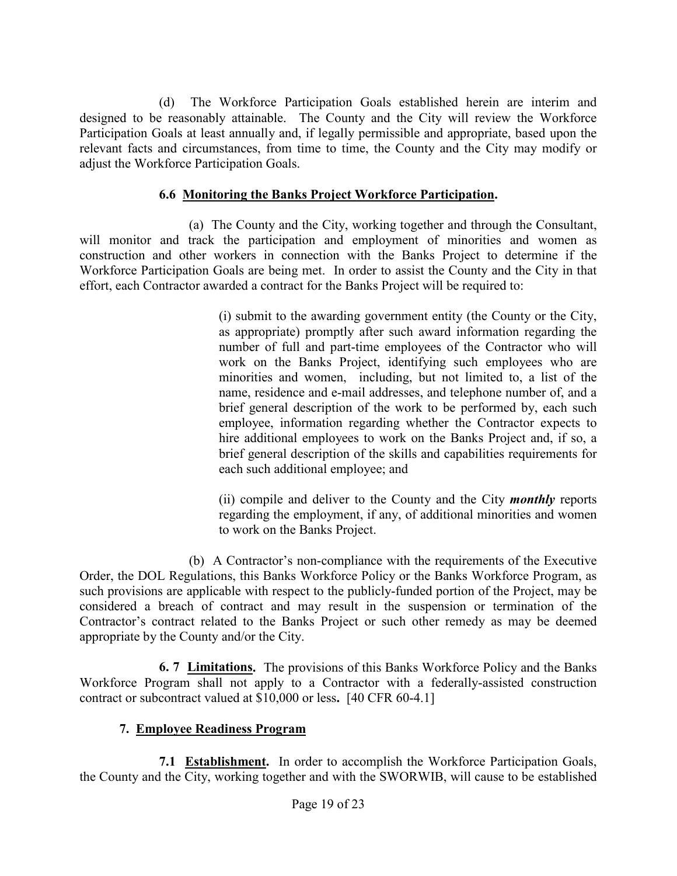(d) The Workforce Participation Goals established herein are interim and designed to be reasonably attainable. The County and the City will review the Workforce Participation Goals at least annually and, if legally permissible and appropriate, based upon the relevant facts and circumstances, from time to time, the County and the City may modify or adjust the Workforce Participation Goals.

#### **6.6 Monitoring the Banks Project Workforce Participation.**

(a) The County and the City, working together and through the Consultant, will monitor and track the participation and employment of minorities and women as construction and other workers in connection with the Banks Project to determine if the Workforce Participation Goals are being met. In order to assist the County and the City in that effort, each Contractor awarded a contract for the Banks Project will be required to:

> (i) submit to the awarding government entity (the County or the City, as appropriate) promptly after such award information regarding the number of full and part-time employees of the Contractor who will work on the Banks Project, identifying such employees who are minorities and women, including, but not limited to, a list of the name, residence and e-mail addresses, and telephone number of, and a brief general description of the work to be performed by, each such employee, information regarding whether the Contractor expects to hire additional employees to work on the Banks Project and, if so, a brief general description of the skills and capabilities requirements for each such additional employee; and

> (ii) compile and deliver to the County and the City *monthly* reports regarding the employment, if any, of additional minorities and women to work on the Banks Project.

(b) A Contractor's non-compliance with the requirements of the Executive Order, the DOL Regulations, this Banks Workforce Policy or the Banks Workforce Program, as such provisions are applicable with respect to the publicly-funded portion of the Project, may be considered a breach of contract and may result in the suspension or termination of the Contractor's contract related to the Banks Project or such other remedy as may be deemed appropriate by the County and/or the City.

**6. 7 Limitations.** The provisions of this Banks Workforce Policy and the Banks Workforce Program shall not apply to a Contractor with a federally-assisted construction contract or subcontract valued at \$10,000 or less**.** [40 CFR 60-4.1]

#### **7. Employee Readiness Program**

**7.1 Establishment.** In order to accomplish the Workforce Participation Goals, the County and the City, working together and with the SWORWIB, will cause to be established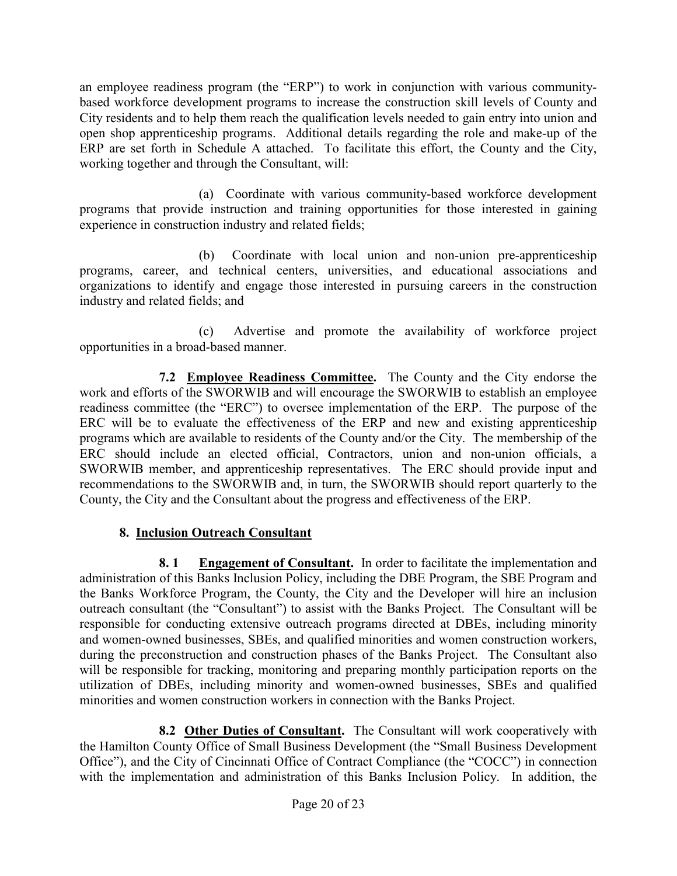an employee readiness program (the "ERP") to work in conjunction with various communitybased workforce development programs to increase the construction skill levels of County and City residents and to help them reach the qualification levels needed to gain entry into union and open shop apprenticeship programs. Additional details regarding the role and make-up of the ERP are set forth in Schedule A attached. To facilitate this effort, the County and the City, working together and through the Consultant, will:

(a) Coordinate with various community-based workforce development programs that provide instruction and training opportunities for those interested in gaining experience in construction industry and related fields;

(b) Coordinate with local union and non-union pre-apprenticeship programs, career, and technical centers, universities, and educational associations and organizations to identify and engage those interested in pursuing careers in the construction industry and related fields; and

(c) Advertise and promote the availability of workforce project opportunities in a broad-based manner.

**7.2 Employee Readiness Committee.** The County and the City endorse the work and efforts of the SWORWIB and will encourage the SWORWIB to establish an employee readiness committee (the "ERC") to oversee implementation of the ERP. The purpose of the ERC will be to evaluate the effectiveness of the ERP and new and existing apprenticeship programs which are available to residents of the County and/or the City. The membership of the ERC should include an elected official, Contractors, union and non-union officials, a SWORWIB member, and apprenticeship representatives. The ERC should provide input and recommendations to the SWORWIB and, in turn, the SWORWIB should report quarterly to the County, the City and the Consultant about the progress and effectiveness of the ERP.

#### **8. Inclusion Outreach Consultant**

**8. 1 Engagement of Consultant.** In order to facilitate the implementation and administration of this Banks Inclusion Policy, including the DBE Program, the SBE Program and the Banks Workforce Program, the County, the City and the Developer will hire an inclusion outreach consultant (the "Consultant") to assist with the Banks Project. The Consultant will be responsible for conducting extensive outreach programs directed at DBEs, including minority and women-owned businesses, SBEs, and qualified minorities and women construction workers, during the preconstruction and construction phases of the Banks Project. The Consultant also will be responsible for tracking, monitoring and preparing monthly participation reports on the utilization of DBEs, including minority and women-owned businesses, SBEs and qualified minorities and women construction workers in connection with the Banks Project.

**8.2 Other Duties of Consultant.** The Consultant will work cooperatively with the Hamilton County Office of Small Business Development (the "Small Business Development Office"), and the City of Cincinnati Office of Contract Compliance (the "COCC") in connection with the implementation and administration of this Banks Inclusion Policy. In addition, the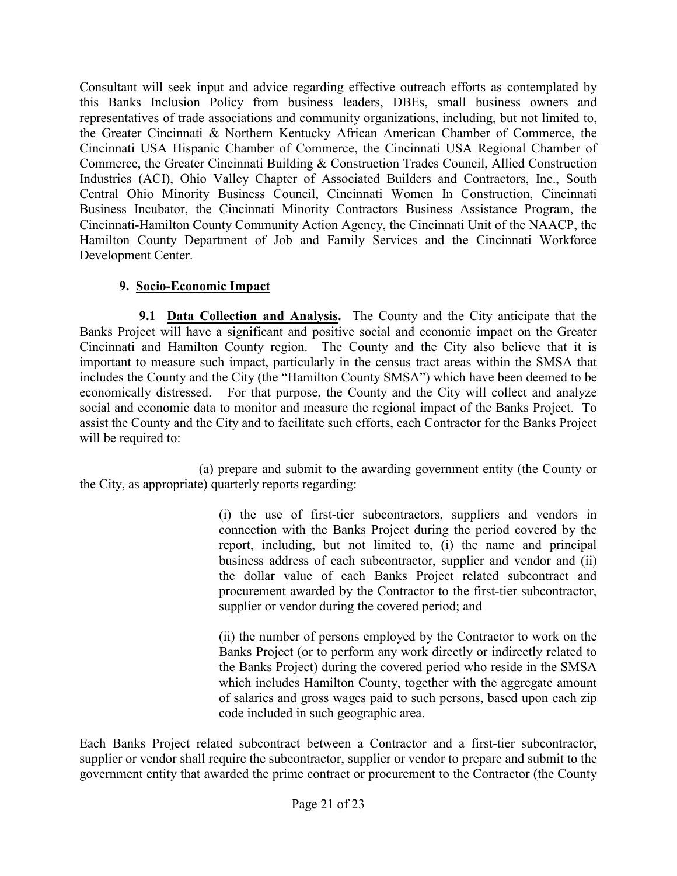Consultant will seek input and advice regarding effective outreach efforts as contemplated by this Banks Inclusion Policy from business leaders, DBEs, small business owners and representatives of trade associations and community organizations, including, but not limited to, the Greater Cincinnati & Northern Kentucky African American Chamber of Commerce, the Cincinnati USA Hispanic Chamber of Commerce, the Cincinnati USA Regional Chamber of Commerce, the Greater Cincinnati Building & Construction Trades Council, Allied Construction Industries (ACI), Ohio Valley Chapter of Associated Builders and Contractors, Inc., South Central Ohio Minority Business Council, Cincinnati Women In Construction, Cincinnati Business Incubator, the Cincinnati Minority Contractors Business Assistance Program, the Cincinnati-Hamilton County Community Action Agency, the Cincinnati Unit of the NAACP, the Hamilton County Department of Job and Family Services and the Cincinnati Workforce Development Center.

### **9. Socio-Economic Impact**

**9.1 Data Collection and Analysis.** The County and the City anticipate that the Banks Project will have a significant and positive social and economic impact on the Greater Cincinnati and Hamilton County region. The County and the City also believe that it is important to measure such impact, particularly in the census tract areas within the SMSA that includes the County and the City (the "Hamilton County SMSA") which have been deemed to be economically distressed. For that purpose, the County and the City will collect and analyze social and economic data to monitor and measure the regional impact of the Banks Project. To assist the County and the City and to facilitate such efforts, each Contractor for the Banks Project will be required to:

(a) prepare and submit to the awarding government entity (the County or the City, as appropriate) quarterly reports regarding:

> (i) the use of first-tier subcontractors, suppliers and vendors in connection with the Banks Project during the period covered by the report, including, but not limited to, (i) the name and principal business address of each subcontractor, supplier and vendor and (ii) the dollar value of each Banks Project related subcontract and procurement awarded by the Contractor to the first-tier subcontractor, supplier or vendor during the covered period; and

> (ii) the number of persons employed by the Contractor to work on the Banks Project (or to perform any work directly or indirectly related to the Banks Project) during the covered period who reside in the SMSA which includes Hamilton County, together with the aggregate amount of salaries and gross wages paid to such persons, based upon each zip code included in such geographic area.

Each Banks Project related subcontract between a Contractor and a first-tier subcontractor, supplier or vendor shall require the subcontractor, supplier or vendor to prepare and submit to the government entity that awarded the prime contract or procurement to the Contractor (the County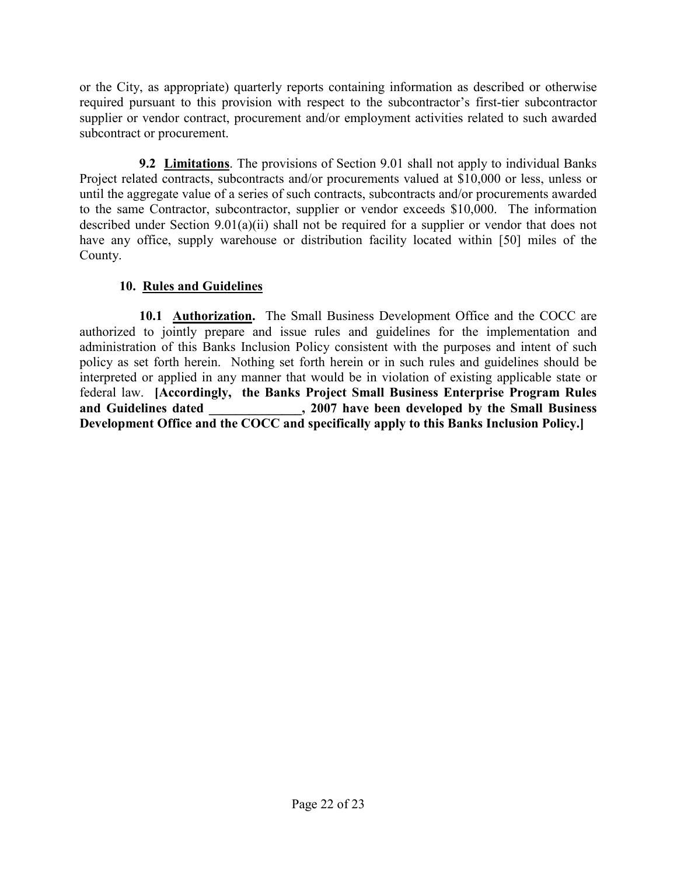or the City, as appropriate) quarterly reports containing information as described or otherwise required pursuant to this provision with respect to the subcontractor's first-tier subcontractor supplier or vendor contract, procurement and/or employment activities related to such awarded subcontract or procurement.

**9.2 Limitations**. The provisions of Section 9.01 shall not apply to individual Banks Project related contracts, subcontracts and/or procurements valued at \$10,000 or less, unless or until the aggregate value of a series of such contracts, subcontracts and/or procurements awarded to the same Contractor, subcontractor, supplier or vendor exceeds \$10,000. The information described under Section 9.01(a)(ii) shall not be required for a supplier or vendor that does not have any office, supply warehouse or distribution facility located within [50] miles of the County.

### **10. Rules and Guidelines**

**10.1 Authorization.** The Small Business Development Office and the COCC are authorized to jointly prepare and issue rules and guidelines for the implementation and administration of this Banks Inclusion Policy consistent with the purposes and intent of such policy as set forth herein. Nothing set forth herein or in such rules and guidelines should be interpreted or applied in any manner that would be in violation of existing applicable state or federal law. **[Accordingly, the Banks Project Small Business Enterprise Program Rules a**  $\overline{2007}$  have been developed by the Small Business **Development Office and the COCC and specifically apply to this Banks Inclusion Policy.]**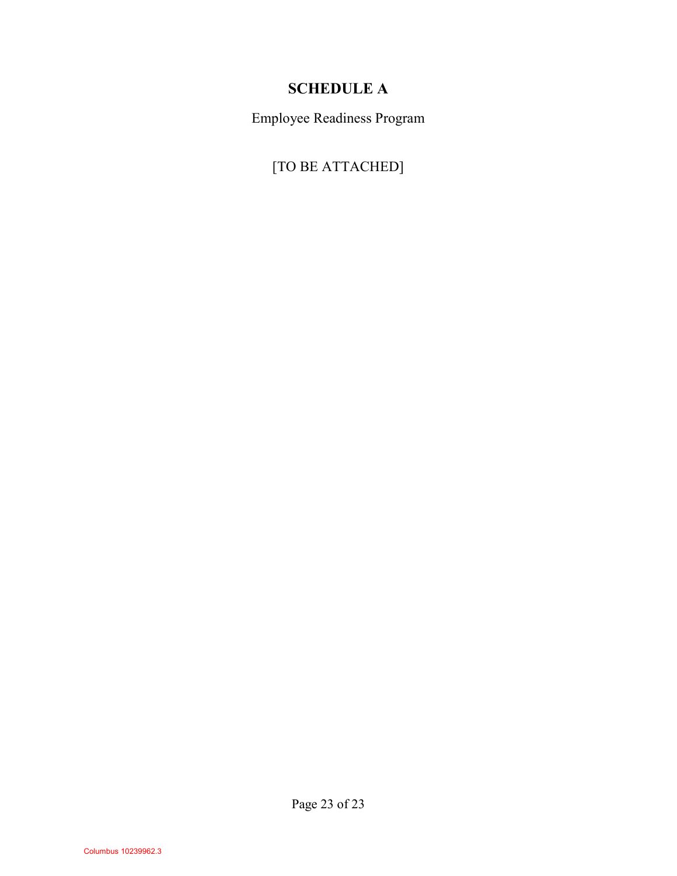# **SCHEDULE A**

Employee Readiness Program

[TO BE ATTACHED]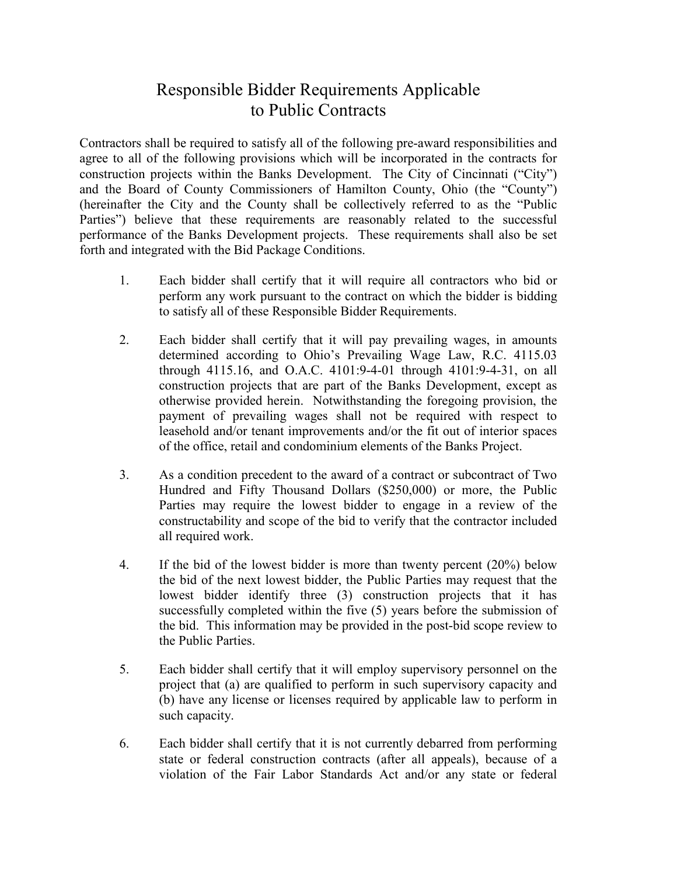# Responsible Bidder Requirements Applicable to Public Contracts

Contractors shall be required to satisfy all of the following pre-award responsibilities and agree to all of the following provisions which will be incorporated in the contracts for construction projects within the Banks Development. The City of Cincinnati ("City") and the Board of County Commissioners of Hamilton County, Ohio (the "County") (hereinafter the City and the County shall be collectively referred to as the "Public Parties") believe that these requirements are reasonably related to the successful performance of the Banks Development projects. These requirements shall also be set forth and integrated with the Bid Package Conditions.

- 1. Each bidder shall certify that it will require all contractors who bid or perform any work pursuant to the contract on which the bidder is bidding to satisfy all of these Responsible Bidder Requirements.
- 2. Each bidder shall certify that it will pay prevailing wages, in amounts determined according to Ohio's Prevailing Wage Law, R.C. 4115.03 through 4115.16, and O.A.C. 4101:9-4-01 through 4101:9-4-31, on all construction projects that are part of the Banks Development, except as otherwise provided herein. Notwithstanding the foregoing provision, the payment of prevailing wages shall not be required with respect to leasehold and/or tenant improvements and/or the fit out of interior spaces of the office, retail and condominium elements of the Banks Project.
- 3. As a condition precedent to the award of a contract or subcontract of Two Hundred and Fifty Thousand Dollars (\$250,000) or more, the Public Parties may require the lowest bidder to engage in a review of the constructability and scope of the bid to verify that the contractor included all required work.
- 4. If the bid of the lowest bidder is more than twenty percent (20%) below the bid of the next lowest bidder, the Public Parties may request that the lowest bidder identify three (3) construction projects that it has successfully completed within the five (5) years before the submission of the bid. This information may be provided in the post-bid scope review to the Public Parties.
- 5. Each bidder shall certify that it will employ supervisory personnel on the project that (a) are qualified to perform in such supervisory capacity and (b) have any license or licenses required by applicable law to perform in such capacity.
- 6. Each bidder shall certify that it is not currently debarred from performing state or federal construction contracts (after all appeals), because of a violation of the Fair Labor Standards Act and/or any state or federal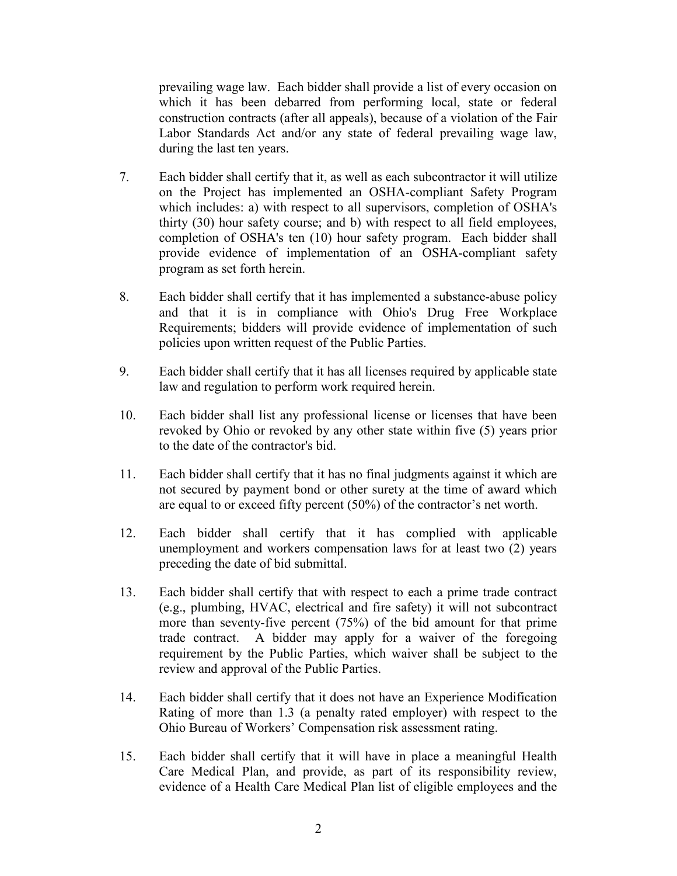prevailing wage law. Each bidder shall provide a list of every occasion on which it has been debarred from performing local, state or federal construction contracts (after all appeals), because of a violation of the Fair Labor Standards Act and/or any state of federal prevailing wage law, during the last ten years.

- 7. Each bidder shall certify that it, as well as each subcontractor it will utilize on the Project has implemented an OSHA-compliant Safety Program which includes: a) with respect to all supervisors, completion of OSHA's thirty (30) hour safety course; and b) with respect to all field employees, completion of OSHA's ten (10) hour safety program. Each bidder shall provide evidence of implementation of an OSHA-compliant safety program as set forth herein.
- 8. Each bidder shall certify that it has implemented a substance-abuse policy and that it is in compliance with Ohio's Drug Free Workplace Requirements; bidders will provide evidence of implementation of such policies upon written request of the Public Parties.
- 9. Each bidder shall certify that it has all licenses required by applicable state law and regulation to perform work required herein.
- 10. Each bidder shall list any professional license or licenses that have been revoked by Ohio or revoked by any other state within five (5) years prior to the date of the contractor's bid.
- 11. Each bidder shall certify that it has no final judgments against it which are not secured by payment bond or other surety at the time of award which are equal to or exceed fifty percent (50%) of the contractor's net worth.
- 12. Each bidder shall certify that it has complied with applicable unemployment and workers compensation laws for at least two (2) years preceding the date of bid submittal.
- 13. Each bidder shall certify that with respect to each a prime trade contract (e.g., plumbing, HVAC, electrical and fire safety) it will not subcontract more than seventy-five percent (75%) of the bid amount for that prime trade contract. A bidder may apply for a waiver of the foregoing requirement by the Public Parties, which waiver shall be subject to the review and approval of the Public Parties.
- 14. Each bidder shall certify that it does not have an Experience Modification Rating of more than 1.3 (a penalty rated employer) with respect to the Ohio Bureau of Workers' Compensation risk assessment rating.
- 15. Each bidder shall certify that it will have in place a meaningful Health Care Medical Plan, and provide, as part of its responsibility review, evidence of a Health Care Medical Plan list of eligible employees and the